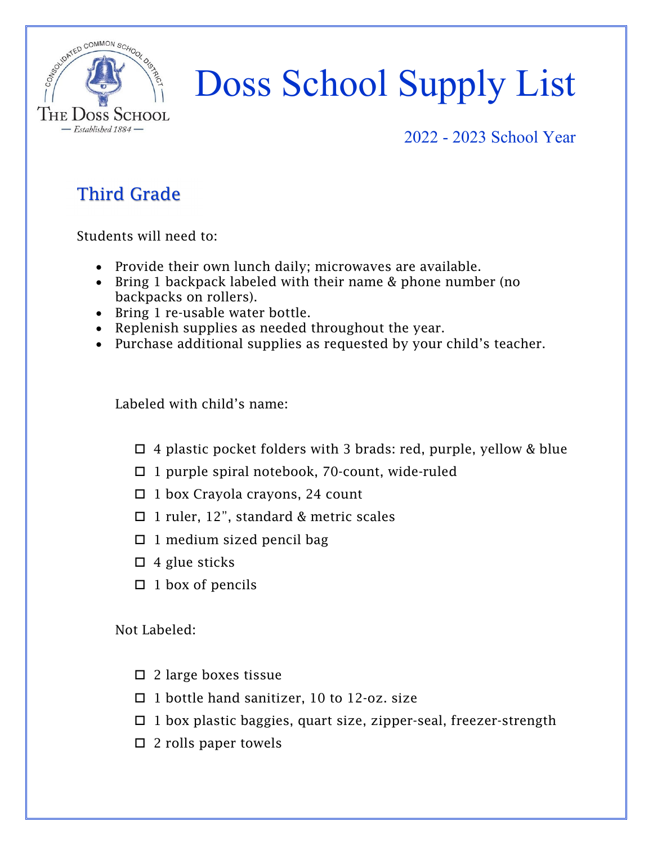

### 2022 - 2023 School Year

### Third Grade

Students will need to:

- Provide their own lunch daily; microwaves are available.
- Bring 1 backpack labeled with their name & phone number (no backpacks on rollers).
- Bring 1 re-usable water bottle.
- Replenish supplies as needed throughout the year.
- Purchase additional supplies as requested by your child's teacher.

Labeled with child's name:

- $\Box$  4 plastic pocket folders with 3 brads: red, purple, yellow & blue
- $\Box$  1 purple spiral notebook, 70-count, wide-ruled
- $\Box$  1 box Crayola crayons, 24 count
- □ 1 ruler, 12", standard & metric scales
- $\Box$  1 medium sized pencil bag
- $\Box$  4 glue sticks
- $\Box$  1 box of pencils

- $\square$  2 large boxes tissue
- $\Box$  1 bottle hand sanitizer, 10 to 12-oz. size
- $\Box$  1 box plastic baggies, quart size, zipper-seal, freezer-strength
- $\square$  2 rolls paper towels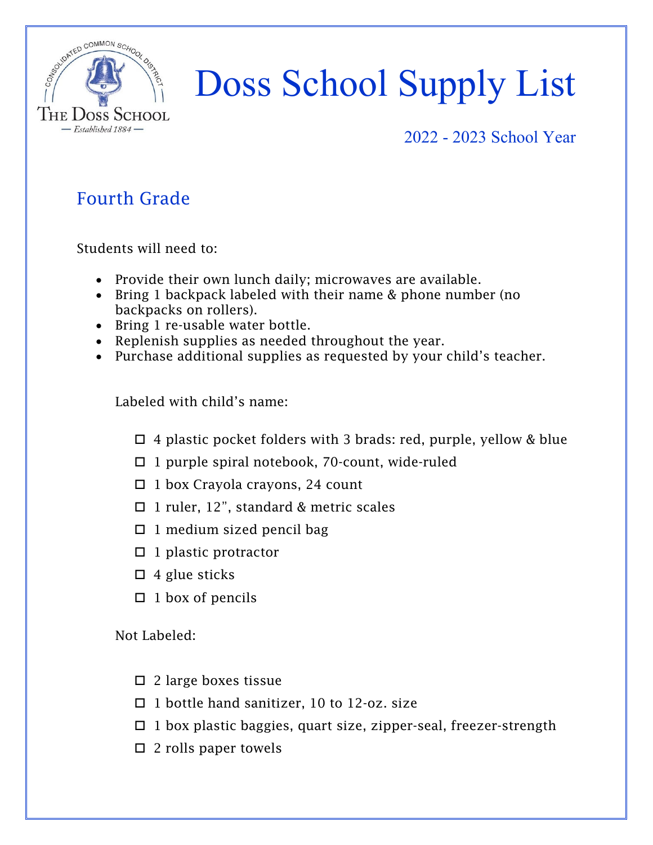

#### 2022 - 2023 School Year

### Fourth Grade

Students will need to:

- Provide their own lunch daily; microwaves are available.
- Bring 1 backpack labeled with their name & phone number (no backpacks on rollers).
- Bring 1 re-usable water bottle.
- Replenish supplies as needed throughout the year.
- Purchase additional supplies as requested by your child's teacher.

Labeled with child's name:

- $\Box$  4 plastic pocket folders with 3 brads: red, purple, yellow & blue
- $\Box$  1 purple spiral notebook, 70-count, wide-ruled
- $\Box$  1 box Crayola crayons, 24 count
- □ 1 ruler, 12", standard & metric scales
- $\Box$  1 medium sized pencil bag
- $\Box$  1 plastic protractor
- $\Box$  4 glue sticks
- $\Box$  1 box of pencils

- $\square$  2 large boxes tissue
- $\Box$  1 bottle hand sanitizer, 10 to 12-oz. size
- $\Box$  1 box plastic baggies, quart size, zipper-seal, freezer-strength
- $\square$  2 rolls paper towels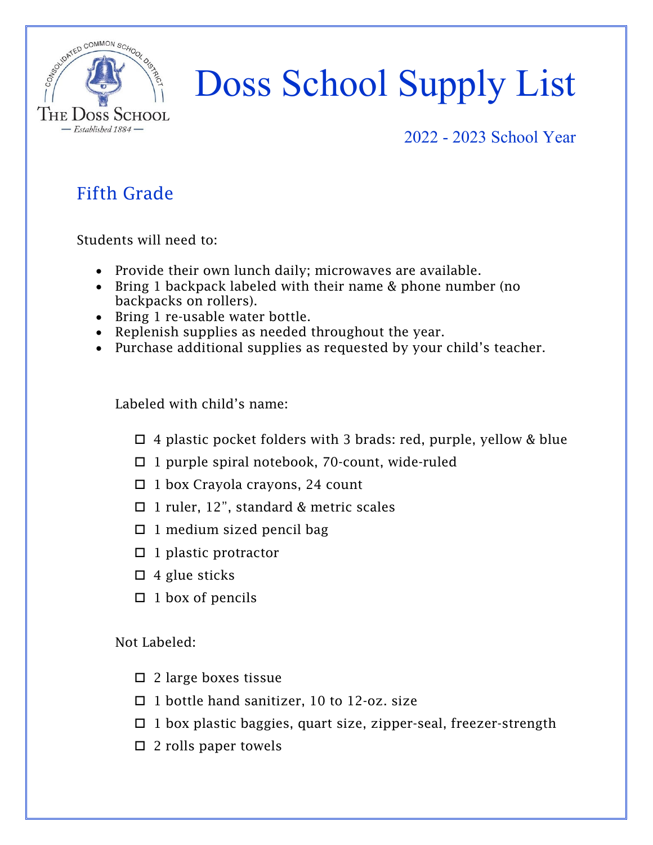

#### 2022 - 2023 School Year

### Fifth Grade

Students will need to:

- Provide their own lunch daily; microwaves are available.
- Bring 1 backpack labeled with their name & phone number (no backpacks on rollers).
- Bring 1 re-usable water bottle.
- Replenish supplies as needed throughout the year.
- Purchase additional supplies as requested by your child's teacher.

Labeled with child's name:

- $\Box$  4 plastic pocket folders with 3 brads: red, purple, yellow & blue
- $\Box$  1 purple spiral notebook, 70-count, wide-ruled
- $\Box$  1 box Crayola crayons, 24 count
- □ 1 ruler, 12", standard & metric scales
- $\Box$  1 medium sized pencil bag
- $\Box$  1 plastic protractor
- $\Box$  4 glue sticks
- $\Box$  1 box of pencils

- $\square$  2 large boxes tissue
- $\Box$  1 bottle hand sanitizer, 10 to 12-oz. size
- $\Box$  1 box plastic baggies, quart size, zipper-seal, freezer-strength
- $\square$  2 rolls paper towels